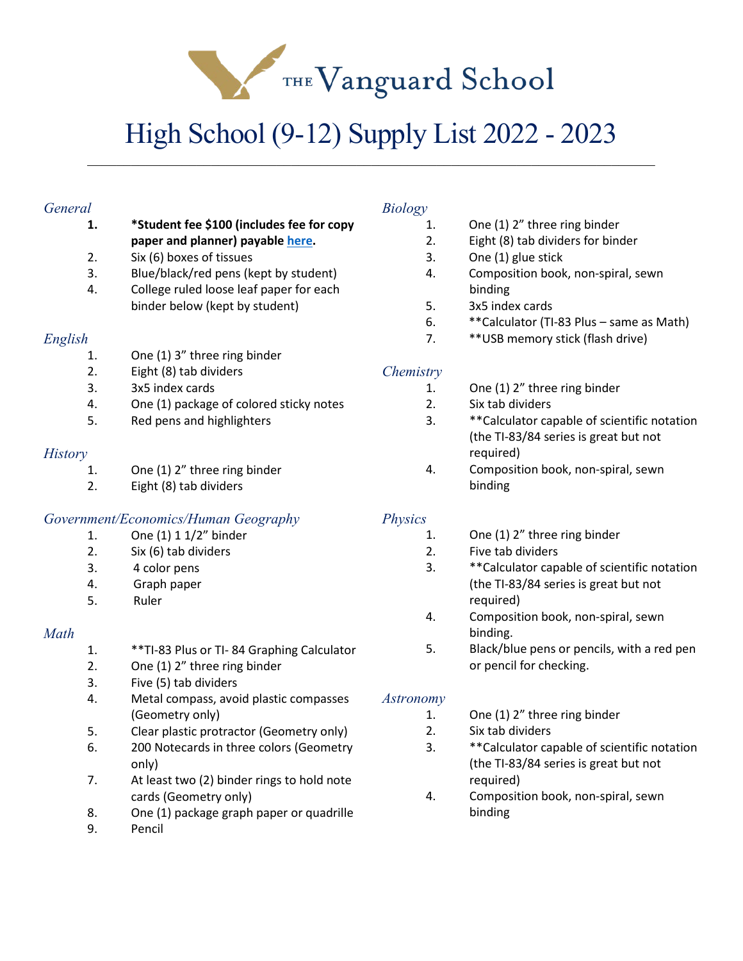THE Vanguard School

# High School (9-12) Supply List 2022 - 2023

\_\_\_\_\_\_\_\_\_\_\_\_\_\_\_\_\_\_\_\_\_\_\_\_\_\_\_\_\_\_\_\_\_\_\_\_\_\_\_\_\_\_\_\_\_\_\_\_\_\_\_\_\_\_\_\_\_\_\_\_\_\_\_\_\_\_\_\_\_\_\_\_\_\_\_\_\_\_

#### *General* **1. \*Student fee \$100 (includes fee for copy paper and planner) payabl[e here.](https://thevanguardschool.revtrak.net/)**  2. Six (6) boxes of tissues 3. Blue/black/red pens (kept by student) 4. College ruled loose leaf paper for each binder below (kept by student) *English* 1. One (1) 3" three ring binder 2. Eight (8) tab dividers 3. 3x5 index cards 4. One (1) package of colored sticky notes 5. Red pens and highlighters *History* 1. One (1) 2" three ring binder 2. Eight (8) tab dividers *Government/Economics/Human Geography* 1. One (1) 1 1/2" binder 2. Six (6) tab dividers 3. 4 color pens 4. Graph paper 5. Ruler *Math* 1. \*\*TI-83 Plus or TI- 84 Graphing Calculator 2. One (1) 2" three ring binder 3. Five (5) tab dividers 4. Metal compass, avoid plastic compasses (Geometry only) 5. Clear plastic protractor (Geometry only) 6. 200 Notecards in three colors (Geometry only) *Biology* 1. One (1) 2" three ring binder 2. Eight (8) tab dividers for binder 3. One (1) glue stick 4. Composition book, non-spiral, sewn binding 5. 3x5 index cards 6. \*\*Calculator (TI-83 Plus – same as Math) 7. \*\*USB memory stick (flash drive) *Chemistry* 1. One (1) 2" three ring binder 2. Six tab dividers 3. \*\*Calculator capable of scientific notation (the TI-83/84 series is great but not required) 4. Composition book, non-spiral, sewn binding *Physics* 1. One (1) 2" three ring binder 2. Five tab dividers 3. \*\*Calculator capable of scientific notation (the TI-83/84 series is great but not required) 4. Composition book, non-spiral, sewn binding. 5. Black/blue pens or pencils, with a red pen or pencil for checking. *Astronomy* 1. One (1) 2" three ring binder 2. Six tab dividers 3. \*\*Calculator capable of scientific notation (the TI-83/84 series is great but not

required)

binding

4. Composition book, non-spiral, sewn

- 7. At least two (2) binder rings to hold note cards (Geometry only)
- 8. One (1) package graph paper or quadrille
- 9. Pencil